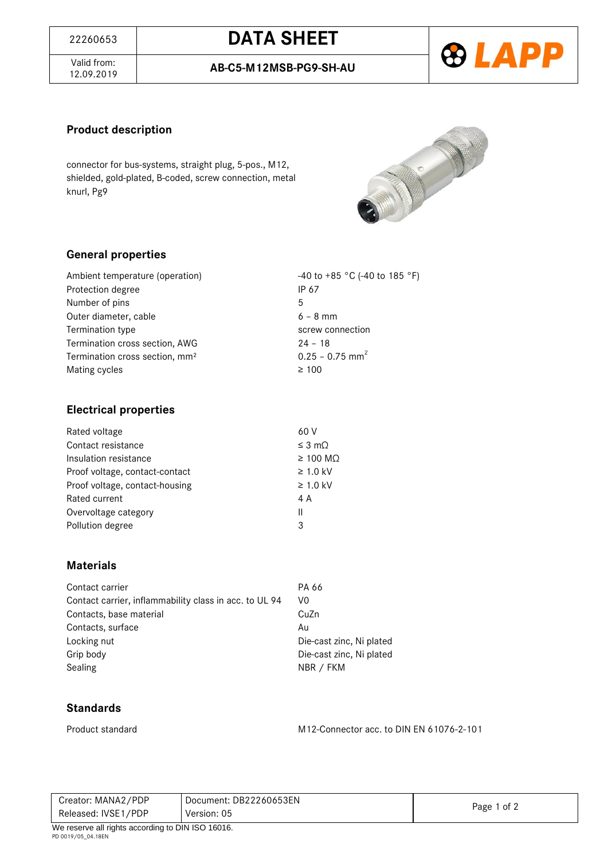# <sup>22260653</sup> **DATA SHEET**

Valid from:<br>12.09.2019

12.09.2019 **AB-C5-M12MSB-PG9-SH-AU**



## **Product description**

connector for bus-systems, straight plug, 5-pos., M12, shielded, gold-plated, B-coded, screw connection, metal knurl, Pg9



#### **General properties**

| Ambient temperature (operation)            | -40 to +85 °C (-40 to 185 °F) |
|--------------------------------------------|-------------------------------|
| Protection degree                          | IP 67                         |
| Number of pins                             | 5                             |
| Outer diameter, cable                      | $6 - 8$ mm                    |
| Termination type                           | screw connection              |
| Termination cross section, AWG             | $24 - 18$                     |
| Termination cross section, mm <sup>2</sup> | $0.25 - 0.75$ mm <sup>2</sup> |
| Mating cycles                              | $\geq 100$                    |

#### **Electrical properties**

| Rated voltage                  | 60 V                |
|--------------------------------|---------------------|
| Contact resistance             | $\leq$ 3 m $\Omega$ |
| Insulation resistance          | $\geq$ 100 MQ       |
| Proof voltage, contact-contact | $\geq 1.0$ kV       |
| Proof voltage, contact-housing | $\geq 1.0$ kV       |
| Rated current                  | 4 A                 |
| Overvoltage category           | Ш                   |
| Pollution degree               | 3                   |
|                                |                     |

#### **Materials**

| Contact carrier                                        | PA 66                    |
|--------------------------------------------------------|--------------------------|
| Contact carrier, inflammability class in acc. to UL 94 | V0                       |
| Contacts, base material                                | CuZn                     |
| Contacts, surface                                      | Au                       |
| Locking nut                                            | Die-cast zinc, Ni plated |
| Grip body                                              | Die-cast zinc, Ni plated |
| Sealing                                                | NBR / FKM                |

#### **Standards**

Product standard M12-Connector acc. to DIN EN 61076-2-101

| Creator: MANA2/PDP                                  | Document: DB22260653EN |             |  |
|-----------------------------------------------------|------------------------|-------------|--|
| Released: IVSE1/PDP                                 | Version: 05            | Page 1 of 2 |  |
| $M_0$ reserve all rights considing to DIN ICO 16016 |                        |             |  |